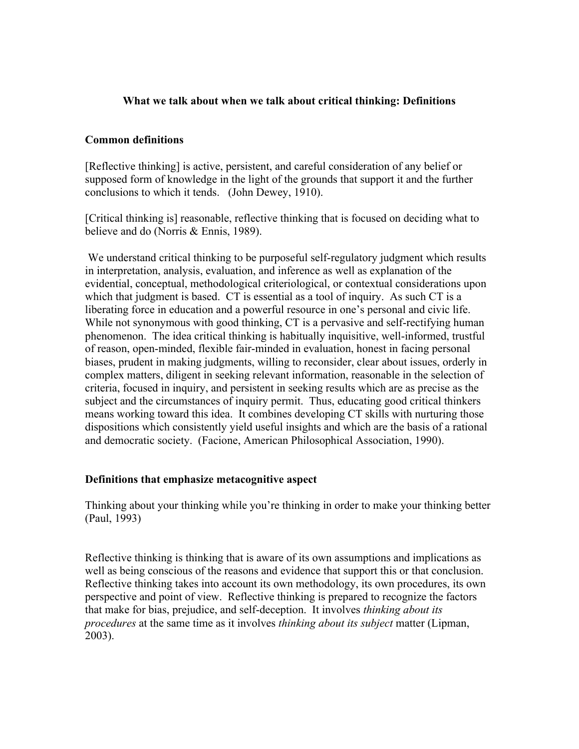## **What we talk about when we talk about critical thinking: Definitions**

#### **Common definitions**

[Reflective thinking] is active, persistent, and careful consideration of any belief or supposed form of knowledge in the light of the grounds that support it and the further conclusions to which it tends. (John Dewey, 1910).

[Critical thinking is] reasonable, reflective thinking that is focused on deciding what to believe and do (Norris & Ennis, 1989).

We understand critical thinking to be purposeful self-regulatory judgment which results in interpretation, analysis, evaluation, and inference as well as explanation of the evidential, conceptual, methodological criteriological, or contextual considerations upon which that judgment is based. CT is essential as a tool of inquiry. As such CT is a liberating force in education and a powerful resource in one's personal and civic life. While not synonymous with good thinking, CT is a pervasive and self-rectifying human phenomenon. The idea critical thinking is habitually inquisitive, well-informed, trustful of reason, open-minded, flexible fair-minded in evaluation, honest in facing personal biases, prudent in making judgments, willing to reconsider, clear about issues, orderly in complex matters, diligent in seeking relevant information, reasonable in the selection of criteria, focused in inquiry, and persistent in seeking results which are as precise as the subject and the circumstances of inquiry permit. Thus, educating good critical thinkers means working toward this idea. It combines developing CT skills with nurturing those dispositions which consistently yield useful insights and which are the basis of a rational and democratic society. (Facione, American Philosophical Association, 1990).

#### **Definitions that emphasize metacognitive aspect**

Thinking about your thinking while you're thinking in order to make your thinking better (Paul, 1993)

Reflective thinking is thinking that is aware of its own assumptions and implications as well as being conscious of the reasons and evidence that support this or that conclusion. Reflective thinking takes into account its own methodology, its own procedures, its own perspective and point of view. Reflective thinking is prepared to recognize the factors that make for bias, prejudice, and self-deception. It involves *thinking about its procedures* at the same time as it involves *thinking about its subject* matter (Lipman, 2003).